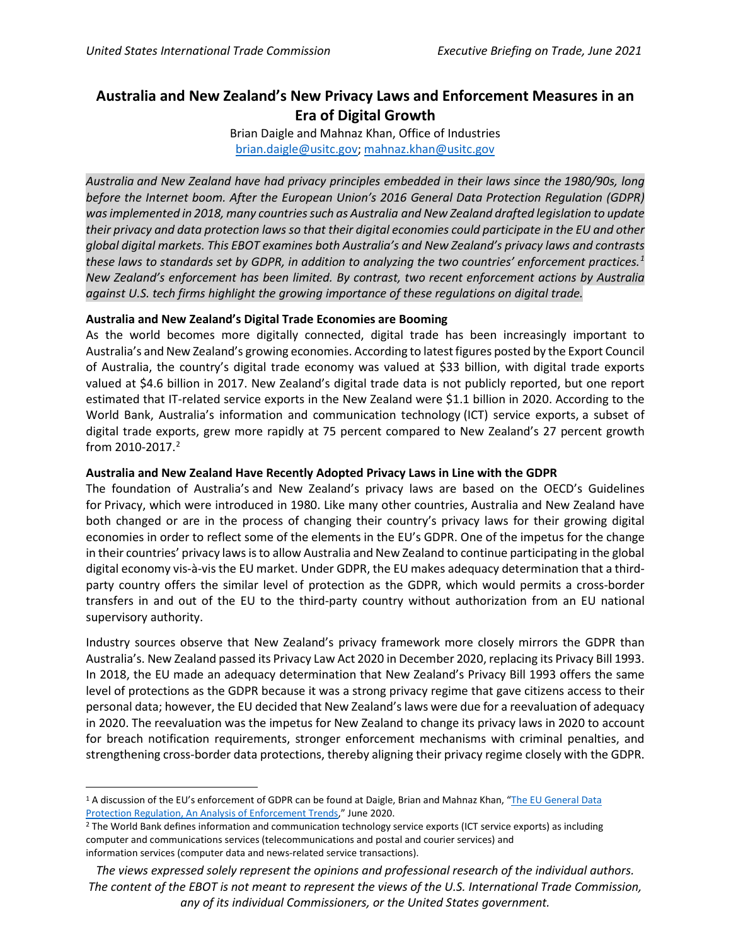## **Australia and New Zealand's New Privacy Laws and Enforcement Measures in an Era of Digital Growth**

Brian Daigle and Mahnaz Khan, Office of Industries [brian.daigle@usitc.gov;](mailto:brian.daigle@usitc.gov) [mahnaz.khan@usitc.gov](mailto:mahnaz.khan@usitc.gov)

*Australia and New Zealand have had privacy principles embedded in their laws since the 1980/90s, long before the Internet boom. After the European Union's 2016 General Data Protection Regulation (GDPR) was implemented in 2018, many countries such as Australia and New Zealand drafted legislation to update their privacy and data protection laws so that their digital economies could participate in the EU and other global digital markets. This EBOT examines both Australia's and New Zealand's privacy laws and contrasts these laws to standards set by GDPR, in addition to analyzing the two countries' enforcement practices. [1](#page-1-0) New Zealand's enforcement has been limited. By contrast, two recent enforcement actions by Australia against U.S. tech firms highlight the growing importance of these regulations on digital trade.* 

## **Australia and New Zealand's Digital Trade Economies are Booming**

As the world becomes more digitally connected, digital trade has been increasingly important to Australia's and New Zealand's growing economies. According to latest figures posted by the Export Council of Australia, the country's digital trade economy was valued at \$33 billion, with digital trade exports valued at \$4.6 billion in 2017. New Zealand's digital trade data is not publicly reported, but one report estimated that IT-related service exports in the New Zealand were \$1.1 billion in 2020. According to the World Bank, Australia's information and communication technology (ICT) service exports, a subset of digital trade exports, grew more rapidly at 75 percent compared to New Zealand's 27 percent growth from 2010-2017. [2](#page-0-0)

## **Australia and New Zealand Have Recently Adopted Privacy Laws in Line with the GDPR**

The foundation of Australia's and New Zealand's privacy laws are based on the OECD's Guidelines for Privacy, which were introduced in 1980. Like many other countries, Australia and New Zealand have both changed or are in the process of changing their country's privacy laws for their growing digital economies in order to reflect some of the elements in the EU's GDPR. One of the impetus for the change in their countries' privacy laws is to allow Australia and New Zealand to continue participating in the global digital economy vis-à-vis the EU market. Under GDPR, the EU makes adequacy determination that a thirdparty country offers the similar level of protection as the GDPR, which would permits a cross-border transfers in and out of the EU to the third-party country without authorization from an EU national supervisory authority.

Industry sources observe that New Zealand's privacy framework more closely mirrors the GDPR than Australia's. New Zealand passed its Privacy Law Act 2020 in December 2020, replacing its Privacy Bill 1993. In 2018, the EU made an adequacy determination that New Zealand's Privacy Bill 1993 offers the same level of protections as the GDPR because it was a strong privacy regime that gave citizens access to their personal data; however, the EU decided that New Zealand's laws were due for a reevaluation of adequacy in 2020. The reevaluation was the impetus for New Zealand to change its privacy laws in 2020 to account for breach notification requirements, stronger enforcement mechanisms with criminal penalties, and strengthening cross-border data protections, thereby aligning their privacy regime closely with the GDPR.

<sup>1</sup> A discussion of the EU's enforcement of GDPR can be found at Daigle, Brian and Mahnaz Khan, ["The EU General Data](https://www.usitc.gov/publications/332/journals/jice_gdpr_enforcement.pdf)  [Protection Regulation, An Analysis of Enforcement Trends,"](https://www.usitc.gov/publications/332/journals/jice_gdpr_enforcement.pdf) June 2020.

<span id="page-0-0"></span><sup>&</sup>lt;sup>2</sup> The World Bank defines information and communication technology service exports (ICT service exports) as including computer and communications services (telecommunications and postal and courier services) and information services (computer data and news-related service transactions).

*The views expressed solely represent the opinions and professional research of the individual authors. The content of the EBOT is not meant to represent the views of the U.S. International Trade Commission, any of its individual Commissioners, or the United States government.*